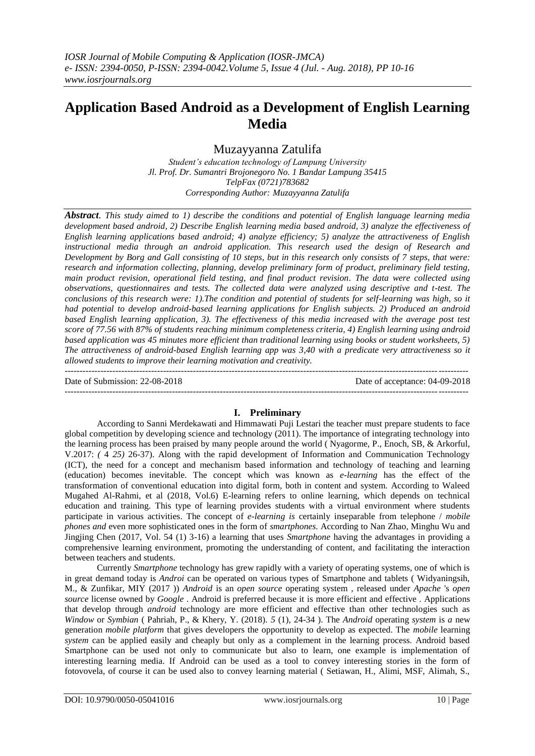# **Application Based Android as a Development of English Learning Media**

Muzayyanna Zatulifa

*Student's education technology of Lampung University Jl. Prof. Dr. Sumantri Brojonegoro No. 1 Bandar Lampung 35415 TelpFax (0721)783682 Corresponding Author: Muzayyanna Zatulifa*

*Abstract. This study aimed to 1) describe the conditions and potential of English language learning media development based android, 2) Describe English learning media based android, 3) analyze the effectiveness of English learning applications based android; 4) analyze efficiency; 5) analyze the attractiveness of English instructional media through an android application. This research used the design of Research and Development by Borg and Gall consisting of 10 steps, but in this research only consists of 7 steps, that were: research and information collecting, planning, develop preliminary form of product, preliminary field testing, main product revision, operational field testing, and final product revision. The data were collected using observations, questionnaires and tests. The collected data were analyzed using descriptive and t-test. The conclusions of this research were: 1).The condition and potential of students for self-learning was high, so it had potential to develop android-based learning applications for English subjects. 2) Produced an android based English learning application, 3). The effectiveness of this media increased with the average post test score of 77.56 with 87% of students reaching minimum completeness criteria, 4) English learning using android based application was 45 minutes more efficient than traditional learning using books or student worksheets, 5) The attractiveness of android-based English learning app was 3,40 with a predicate very attractiveness so it allowed students to improve their learning motivation and creativity.*

Date of Submission: 22-08-2018 Date of acceptance: 04-09-2018

 $-1\leq i\leq n-1\leq n-1\leq n-1\leq n-1\leq n-1\leq n-1\leq n-1\leq n-1\leq n-1\leq n-1\leq n-1\leq n-1\leq n-1\leq n-1\leq n-1\leq n-1\leq n-1\leq n-1\leq n-1\leq n-1\leq n-1\leq n-1\leq n-1\leq n-1\leq n-1\leq n-1\leq n-1\leq n-1\leq n-1\leq n-1\leq n-1\leq n-1\leq n-1\leq n-1\leq n-1\leq n$ 

## **I. Preliminary**

---------------------------------------------------------------------------------------------------------------------------------------

According to Sanni Merdekawati and Himmawati Puji Lestari the teacher must prepare students to face global competition by developing science and technology (2011). The importance of integrating technology into the learning process has been praised by many people around the world ( Nyagorme, P., Enoch, SB, & Arkorful, V.2017: *(* 4 *25)* 26-37). Along with the rapid development of Information and Communication Technology (ICT), the need for a concept and mechanism based information and technology of teaching and learning (education) becomes inevitable. The concept which was known as *e-learning* has the effect of the transformation of conventional education into digital form, both in content and system. According to Waleed Mugahed Al-Rahmi, et al (2018, Vol.6) E-learning refers to online learning, which depends on technical education and training. This type of learning provides students with a virtual environment where students participate in various activities. The concept of *e-learning is* certainly inseparable from telephone / *mobile phones and* even more sophisticated ones in the form of *smartphones.* According to Nan Zhao, Minghu Wu and Jingjing Chen (2017, Vol. 54 (1) 3-16) a learning that uses *Smartphone* having the advantages in providing a comprehensive learning environment, promoting the understanding of content, and facilitating the interaction between teachers and students.

Currently *Smartphone* technology has grew rapidly with a variety of operating systems, one of which is in great demand today is *Androi* can be operated on various types of Smartphone and tablets ( Widyaningsih, M., & Zunfikar, MIY (2017 )) *Android* is an *open source* operating system *,* released under *Apache* 's *open source* license owned by *Google* . Android is preferred because it is more efficient and effective . Applications that develop through *android* technology are more efficient and effective than other technologies such as *Window* or *Symbian* ( Pahriah, P., & Khery, Y. (2018). *5* (1), 24-34 ). The *Android* operating *system* is *a* new generation *mobile platform* that gives developers the opportunity to develop as expected. The *mobile* learning *system* can be applied easily and cheaply but only as a complement in the learning process. Android based Smartphone can be used not only to communicate but also to learn, one example is implementation of interesting learning media. If Android can be used as a tool to convey interesting stories in the form of fotovovela, of course it can be used also to convey learning material ( Setiawan, H., Alimi, MSF, Alimah, S.,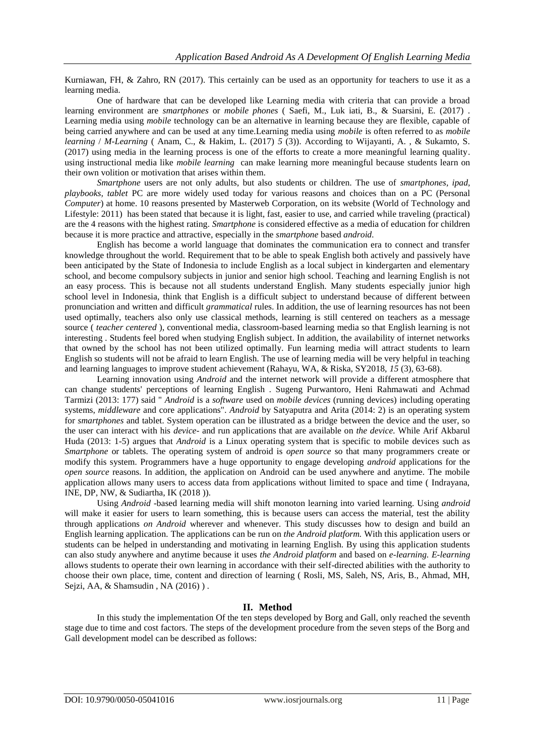Kurniawan, FH, & Zahro, RN (2017). This certainly can be used as an opportunity for teachers to use it as a learning media.

One of hardware that can be developed like Learning media with criteria that can provide a broad learning environment are *smartphones* or *mobile phones* ( Saefi, M., Luk iati, B., & Suarsini, E. (2017) . Learning media using *mobile* technology can be an alternative in learning because they are flexible, capable of being carried anywhere and can be used at any time.Learning media using *mobile* is often referred to as *mobile learning* / *M-Learning* ( Anam, C., & Hakim, L. (2017) *5* (3)). According to Wijayanti, A. , & Sukamto, S. (2017) using media in the learning process is one of the efforts to create a more meaningful learning quality. using instructional media like *mobile learning* can make learning more meaningful because students learn on their own volition or motivation that arises within them.

*Smartphone* users are not only adults, but also students or children. The use of *smartphones, ipad, playbooks, tablet* PC are more widely used today for various reasons and choices than on a PC (Personal *Computer*) at home. 10 reasons presented by Masterweb Corporation, on its website (World of Technology and Lifestyle: 2011) has been stated that because it is light, fast, easier to use, and carried while traveling (practical) are the 4 reasons with the highest rating. *Smartphone* is considered effective as a media of education for children because it is more practice and attractive, especially in the *smartphone* based *android.*

English has become a world language that dominates the communication era to connect and transfer knowledge throughout the world. Requirement that to be able to speak English both actively and passively have been anticipated by the State of Indonesia to include English as a local subject in kindergarten and elementary school, and become compulsory subjects in junior and senior high school. Teaching and learning English is not an easy process. This is because not all students understand English. Many students especially junior high school level in Indonesia, think that English is a difficult subject to understand because of different between pronunciation and written and difficult *grammatical* rules. In addition, the use of learning resources has not been used optimally, teachers also only use classical methods, learning is still centered on teachers as a message source ( *teacher centered* ), conventional media, classroom-based learning media so that English learning is not interesting . Students feel bored when studying English subject. In addition, the availability of internet networks that owned by the school has not been utilized optimally. Fun learning media will attract students to learn English so students will not be afraid to learn English. The use of learning media will be very helpful in teaching and learning languages to improve student achievement (Rahayu, WA, & Riska, SY2018, *15* (3), 63-68).

Learning innovation using *Android* and the internet network will provide a different atmosphere that can change students' perceptions of learning English . Sugeng Purwantoro, Heni Rahmawati and Achmad Tarmizi (2013: 177) said " *Android* is a *software* used on *mobile devices* (running devices) including operating systems, *middleware* and core applications". *Android* by Satyaputra and Arita (2014: 2) is an operating system for *smartphones* and tablet. System operation can be illustrated as a bridge between the device and the user, so the user can interact with his *device-* and run applications that are available on *the device.* While Arif Akbarul Huda (2013: 1-5) argues that *Android* is a Linux operating system that is specific to mobile devices such as *Smartphone* or tablets. The operating system of android is *open source* so that many programmers create or modify this system. Programmers have a huge opportunity to engage developing *android* applications for the *open source* reasons. In addition, the application on Android can be used anywhere and anytime. The mobile application allows many users to access data from applications without limited to space and time ( Indrayana, INE, DP, NW, & Sudiartha, IK (2018 )).

Using *Android* -based learning media will shift monoton learning into varied learning. Using *android* will make it easier for users to learn something, this is because users can access the material, test the ability through applications *on Android* wherever and whenever. This study discusses how to design and build an English learning application. The applications can be run on *the Android platform.* With this application users or students can be helped in understanding and motivating in learning English. By using this application students can also study anywhere and anytime because it uses *the Android platform* and based on *e-learning. E-learning* allows students to operate their own learning in accordance with their self-directed abilities with the authority to choose their own place, time, content and direction of learning ( Rosli, MS, Saleh, NS, Aris, B., Ahmad, MH, Sejzi, AA, & Shamsudin, NA (2016)).

## **II. Method**

In this study the implementation Of the ten steps developed by Borg and Gall, only reached the seventh stage due to time and cost factors. The steps of the development procedure from the seven steps of the Borg and Gall development model can be described as follows: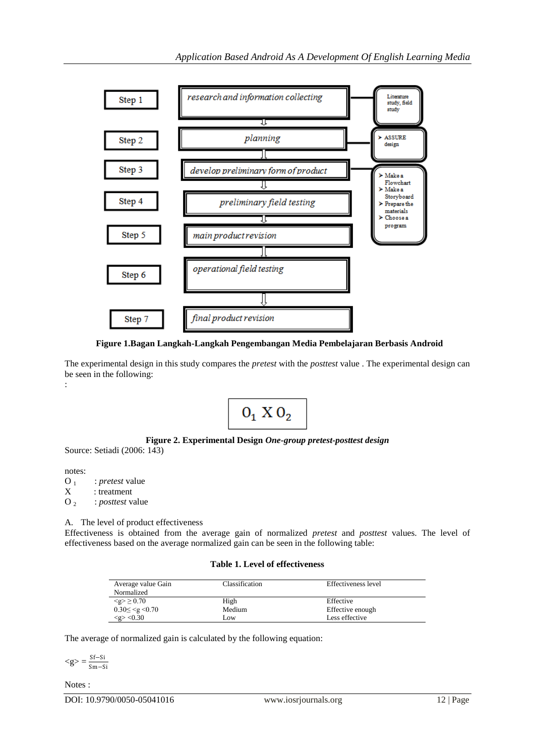

**Figure 1.Bagan Langkah-Langkah Pengembangan Media Pembelajaran Berbasis Android**

The experimental design in this study compares the *pretest* with the *posttest* value . The experimental design can be seen in the following: :



## **Figure 2. Experimental Design** *One-group pretest-posttest design*

Source: Setiadi (2006: 143)

notes: O<sub>1</sub> : *pretest* value<br>X : treatment : treatment

O 2 : *posttest* value

A. The level of product effectiveness

Effectiveness is obtained from the average gain of normalized *pretest* and *posttest* values. The level of effectiveness based on the average normalized gain can be seen in the following table:

#### **Table 1. Level of effectiveness**

| Average value Gain<br>Normalized    | Classification | Effectiveness level |
|-------------------------------------|----------------|---------------------|
| $\leq g > 0.70$                     | High           | Effective           |
| $0.30 \leq \leq g \leq 0.70$        | Medium         | Effective enough    |
| $\langle$ g> $\langle 0.30 \rangle$ | Low            | Less effective      |

The average of normalized gain is calculated by the following equation:

 $\langle g \rangle = \frac{Sf-Si}{S}$ Sm−Si

Notes :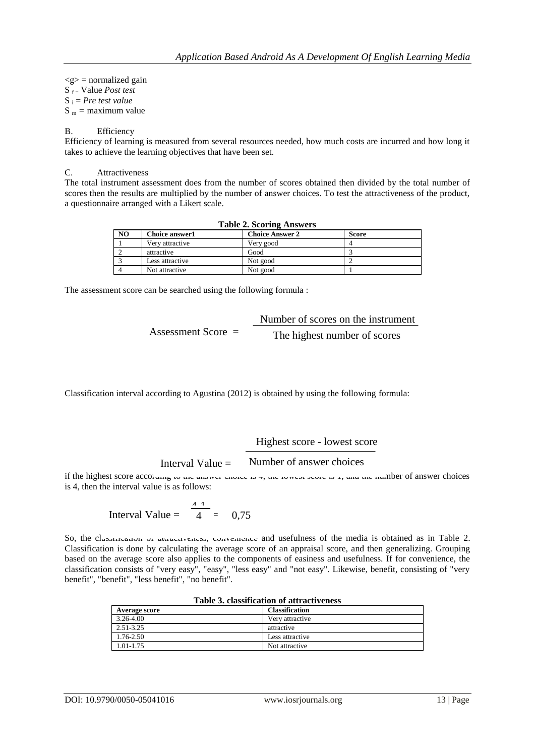$\langle g \rangle$  = normalized gain S f = Value *Post test* S <sup>i</sup> = *Pre test value*  $S_m$  = maximum value

### B. Efficiency

Efficiency of learning is measured from several resources needed, how much costs are incurred and how long it takes to achieve the learning objectives that have been set.

#### C. Attractiveness

The total instrument assessment does from the number of scores obtained then divided by the total number of scores then the results are multiplied by the number of answer choices. To test the attractiveness of the product, a questionnaire arranged with a Likert scale.

| <b>Table 2. Scoring Answers</b> |                       |                        |              |  |
|---------------------------------|-----------------------|------------------------|--------------|--|
| N <sub>O</sub>                  | <b>Choice answer1</b> | <b>Choice Answer 2</b> | <b>Score</b> |  |
|                                 | Very attractive       | Very good              |              |  |
|                                 | attractive            | Good                   |              |  |
|                                 | Less attractive       | Not good               |              |  |
|                                 | Not attractive        | Not good               |              |  |

The assessment score can be searched using the following formula :

|                      | Number of scores on the instrument |
|----------------------|------------------------------------|
| Assessment Score $=$ | The highest number of scores       |

Classification interval according to Agustina (2012) is obtained by using the following formula:

Highest score - lowest score

Interval Value  $=$ Number of answer choices

if the highest score according to the answer choice is 7, the lowest secrets 1, and the number of answer choices is 4, then the interval value is as follows:

Interval Value = 
$$
\frac{4}{4} = 0.75
$$

So, the classification of attractiveness, convenience and usefulness of the media is obtained as in Table 2. Classification is done by calculating the average score of an appraisal score, and then generalizing. Grouping based on the average score also applies to the components of easiness and usefulness. If for convenience, the classification consists of "very easy", "easy", "less easy" and "not easy". Likewise, benefit, consisting of "very benefit", "benefit", "less benefit", "no benefit".

| таміс от спампісатоті от атпасті спем |                       |  |
|---------------------------------------|-----------------------|--|
| <b>Average score</b>                  | <b>Classification</b> |  |
| 3.26-4.00                             | Very attractive       |  |
| 2.51-3.25                             | attractive            |  |
| 1.76-2.50                             | Less attractive       |  |
| 1.01-1.75                             | Not attractive        |  |

## **Table 3. classification of attractiveness**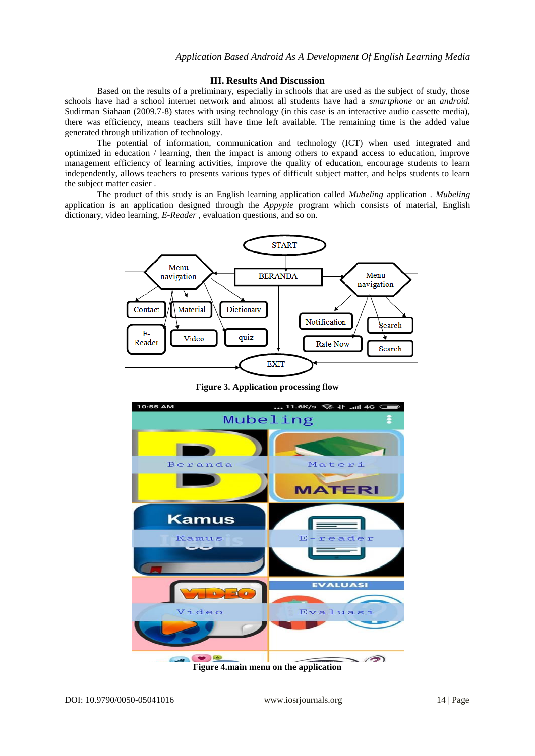## **III. Results And Discussion**

Based on the results of a preliminary, especially in schools that are used as the subject of study, those schools have had a school internet network and almost all students have had a *smartphone* or an *android.* Sudirman Siahaan (2009.7-8) states with using technology (in this case is an interactive audio cassette media), there was efficiency, means teachers still have time left available. The remaining time is the added value generated through utilization of technology.

The potential of information, communication and technology (ICT) when used integrated and optimized in education / learning, then the impact is among others to expand access to education, improve management efficiency of learning activities, improve the quality of education, encourage students to learn independently, allows teachers to presents various types of difficult subject matter, and helps students to learn the subject matter easier .

The product of this study is an English learning application called *Mubeling* application *. Mubeling* application is an application designed through the *Appypie* program which consists of material, English dictionary, video learning, *E-Reader* , evaluation questions, and so on.



**Figure 3. Application processing flow**

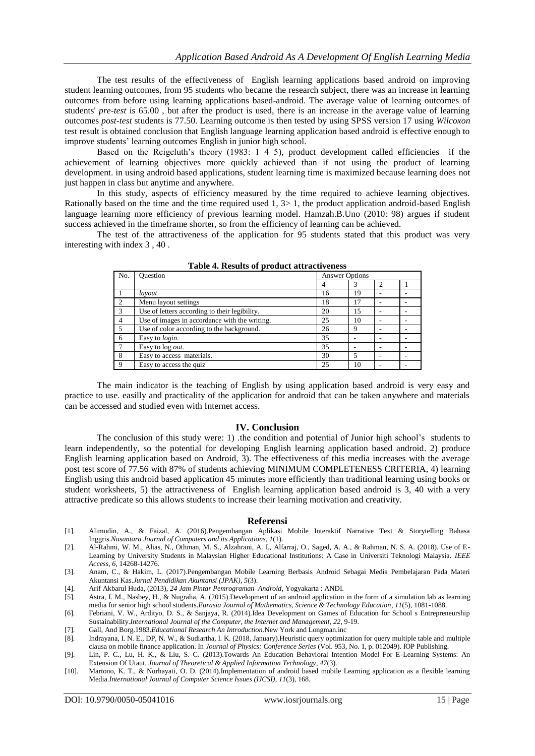The test results of the effectiveness of English learning applications based android on improving student learning outcomes, from 95 students who became the research subject, there was an increase in learning outcomes from before using learning applications based-android. The average value of learning outcomes of students' *pre-test* is 65.00 , but after the product is used, there is an increase in the average value of learning outcomes *post-test* students is 77.50. Learning outcome is then tested by using SPSS version 17 using *Wilcoxon* test result is obtained conclusion that English language learning application based android is effective enough to improve students' learning outcomes English in junior high school.

Based on the Reigeluth's theory (1983: 1 4 5), product development called efficiencies if the achievement of learning objectives more quickly achieved than if not using the product of learning development. in using android based applications, student learning time is maximized because learning does not just happen in class but anytime and anywhere.

In this study, aspects of efficiency measured by the time required to achieve learning objectives. Rationally based on the time and the time required used 1, 3> 1, the product application android-based English language learning more efficiency of previous learning model. Hamzah.B.Uno (2010: 98) argues if student success achieved in the timeframe shorter, so from the efficiency of learning can be achieved.

The test of the attractiveness of the application for 95 students stated that this product was very interesting with index 3 , 40 .

| No.           | <b>Ouestion</b><br>Answer Options             |    |    |  |  |  |
|---------------|-----------------------------------------------|----|----|--|--|--|
|               |                                               |    |    |  |  |  |
|               | layout                                        | 16 | 19 |  |  |  |
| $\mathcal{D}$ | Menu layout settings                          | 18 | 17 |  |  |  |
| 3             | Use of letters according to their legibility. | 20 | 15 |  |  |  |
| 4             | Use of images in accordance with the writing. | 25 | 10 |  |  |  |
|               | Use of color according to the background.     | 26 | Q  |  |  |  |
| 6             | Easy to login.                                | 35 |    |  |  |  |
|               | Easy to log <i>out</i> .                      | 35 |    |  |  |  |
| 8             | Easy to access materials.                     | 30 |    |  |  |  |
| $\mathbf Q$   | Easy to access the quiz.                      | 25 | 10 |  |  |  |

**Table 4. Results of product attractiveness**

The main indicator is the teaching of English by using application based android is very easy and practice to use. easilly and practicality of the application for android that can be taken anywhere and materials can be accessed and studied even with Internet access.

#### **IV. Conclusion**

The conclusion of this study were: 1) .the condition and potential of Junior high school's students to learn independently, so the potential for developing English learning application based android. 2) produce English learning application based on Android, 3). The effectiveness of this media increases with the average post test score of 77.56 with 87% of students achieving MINIMUM COMPLETENESS CRITERIA, 4) learning English using this android based application 45 minutes more efficiently than traditional learning using books or student worksheets, 5) the attractiveness of English learning application based android is 3, 40 with a very attractive predicate so this allows students to increase their learning motivation and creativity.

#### **Referensi**

- [1]. Alimudin, A., & Faizal, A. (2016).Pengembangan Aplikasi Mobile Interaktif Narrative Text & Storytelling Bahasa Inggris.*Nusantara Journal of Computers and its Applications*, *1*(1).
- [2]. Al-Rahmi, W. M., Alias, N., Othman, M. S., Alzahrani, A. I., Alfarraj, O., Saged, A. A., & Rahman, N. S. A. (2018). Use of E-Learning by University Students in Malaysian Higher Educational Institutions: A Case in Universiti Teknologi Malaysia. *IEEE Access*, *6*, 14268-14276.
- [3]. Anam, C., & Hakim, L. (2017).Pengembangan Mobile Learning Berbasis Android Sebagai Media Pembelajaran Pada Materi Akuntansi Kas.*Jurnal Pendidikan Akuntansi (JPAK)*, *5*(3).
- [4]. Arif Akbarul Huda, (2013), *24 Jam Pintar Pemrograman Android*, Yogyakarta : ANDI.
- [5]. Astra, I. M., Nasbey, H., & Nugraha, A. (2015).Development of an android application in the form of a simulation lab as learning media for senior high school students.*Eurasia Journal of Mathematics, Science & Technology Education*, *11*(5), 1081-1088.
- [6]. Febriani, V. W., Ardityo, D. S., & Sanjaya, R. (2014).Idea Development on Games of Education for School s Entrepreneurship Sustainability.*International Journal of the Computer, the Internet and Management*, *22*, 9-19.
- [7]. Gall, And Borg.1983.*Educational Research An Introduction.*New York and Longman.inc
- [8]. Indrayana, I. N. E., DP, N. W., & Sudiartha, I. K. (2018, January).Heuristic query optimization for query multiple table and multiple clausa on mobile finance application. In *Journal of Physics: Conference Series* (Vol. 953, No. 1, p. 012049). IOP Publishing.
- [9]. Lin, P. C., Lu, H. K., & Liu, S. C. (2013).Towards An Education Behavioral Intention Model For E-Learning Systems: An Extension Of Utaut. *Journal of Theoretical & Applied Information Technology*, *47*(3).
- [10]. Martono, K. T., & Nurhayati, O. D. (2014).Implementation of android based mobile Learning application as a flexible learning Media.*International Journal of Computer Science Issues (IJCSI)*, *11*(3), 168.